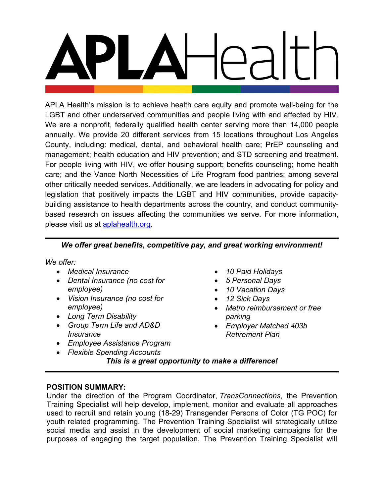APLA Health's mission is to achieve health care equity and promote well-being for the LGBT and other underserved communities and people living with and affected by HIV. We are a nonprofit, federally qualified health center serving more than 14,000 people annually. We provide 20 different services from 15 locations throughout Los Angeles County, including: medical, dental, and behavioral health care; PrEP counseling and management; health education and HIV prevention; and STD screening and treatment. For people living with HIV, we offer housing support; benefits counseling; home health care; and the Vance North Necessities of Life Program food pantries; among several other critically needed services. Additionally, we are leaders in advocating for policy and legislation that positively impacts the LGBT and HIV communities, provide capacitybuilding assistance to health departments across the country, and conduct communitybased research on issues affecting the communities we serve. For more information, please visit us at **aplahealth.org**.

## *We offer great benefits, competitive pay, and great working environment!*

*We offer:*

- *Medical Insurance*
- *Dental Insurance (no cost for employee)*
- *Vision Insurance (no cost for employee)*
- *Long Term Disability*
- *Group Term Life and AD&D Insurance*
- *Employee Assistance Program*
- *Flexible Spending Accounts*
- *10 Paid Holidays*
- *5 Personal Days*
- *10 Vacation Days*
- *12 Sick Days*
- *Metro reimbursement or free parking*
- *Employer Matched 403b Retirement Plan*

*This is a great opportunity to make a difference!*

## **POSITION SUMMARY:**

Under the direction of the Program Coordinator, *TransConnections*, the Prevention Training Specialist will help develop, implement, monitor and evaluate all approaches used to recruit and retain young (18-29) Transgender Persons of Color (TG POC) for youth related programming. The Prevention Training Specialist will strategically utilize social media and assist in the development of social marketing campaigns for the purposes of engaging the target population. The Prevention Training Specialist will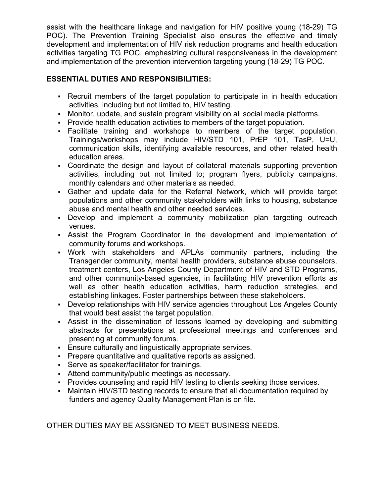assist with the healthcare linkage and navigation for HIV positive young (18-29) TG POC). The Prevention Training Specialist also ensures the effective and timely development and implementation of HIV risk reduction programs and health education activities targeting TG POC, emphasizing cultural responsiveness in the development and implementation of the prevention intervention targeting young (18-29) TG POC.

# **ESSENTIAL DUTIES AND RESPONSIBILITIES:**

- Recruit members of the target population to participate in in health education activities, including but not limited to, HIV testing.
- Monitor, update, and sustain program visibility on all social media platforms.
- Provide health education activities to members of the target population.
- Facilitate training and workshops to members of the target population. Trainings/workshops may include HIV/STD 101, PrEP 101, TasP, U=U, communication skills, identifying available resources, and other related health education areas.
- Coordinate the design and layout of collateral materials supporting prevention activities, including but not limited to; program flyers, publicity campaigns, monthly calendars and other materials as needed.
- Gather and update data for the Referral Network, which will provide target populations and other community stakeholders with links to housing, substance abuse and mental health and other needed services.
- Develop and implement a community mobilization plan targeting outreach venues.
- Assist the Program Coordinator in the development and implementation of community forums and workshops.
- Work with stakeholders and APLAs community partners, including the Transgender community, mental health providers, substance abuse counselors, treatment centers, Los Angeles County Department of HIV and STD Programs, and other community-based agencies, in facilitating HIV prevention efforts as well as other health education activities, harm reduction strategies, and establishing linkages. Foster partnerships between these stakeholders.
- Develop relationships with HIV service agencies throughout Los Angeles County that would best assist the target population.
- Assist in the dissemination of lessons learned by developing and submitting abstracts for presentations at professional meetings and conferences and presenting at community forums.
- Ensure culturally and linguistically appropriate services.
- Prepare quantitative and qualitative reports as assigned.
- Serve as speaker/facilitator for trainings.
- Attend community/public meetings as necessary.
- Provides counseling and rapid HIV testing to clients seeking those services.
- Maintain HIV/STD testing records to ensure that all documentation required by funders and agency Quality Management Plan is on file.

OTHER DUTIES MAY BE ASSIGNED TO MEET BUSINESS NEEDS.